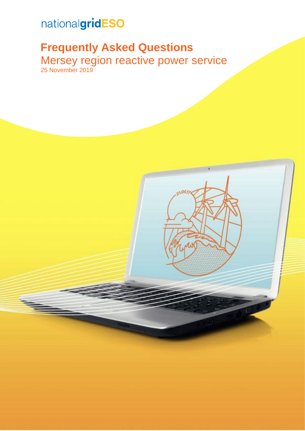# nationalgridESO

# **Frequently Asked Questions**

Mersey region reactive power service 25 November 2019

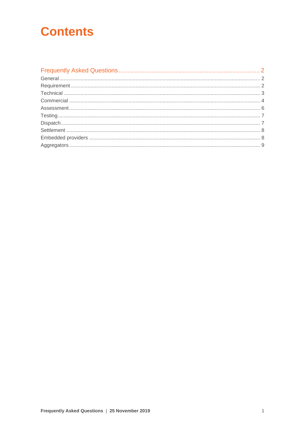# **Contents**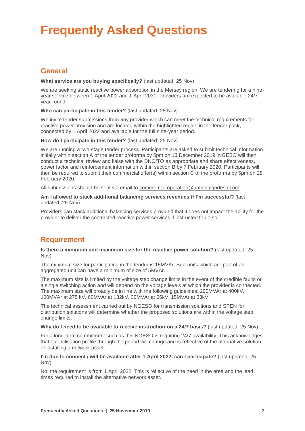# <span id="page-2-0"></span>**Frequently Asked Questions**

# <span id="page-2-1"></span>**General**

## **What service are you buying specifically?** (last updated: 25 Nov)

We are seeking static reactive power absorption in the Mersey region. We are tendering for a nineyear service between 1 April 2022 and 1 April 2031. Providers are expected to be available 24/7 year-round.

# **Who can participate in this tender?** (last updated: 25 Nov)

We invite tender submissions from any provider which can meet the technical requirements for reactive power provision and are located within the highlighted region in the tender pack, connected by 1 April 2022 and available for the full nine-year period.

# **How do I participate in this tender?** (last updated: 25 Nov)

We are running a two-stage tender process. Participants are asked to submit technical information initially within section A of the tender proforma by 5pm on 13 December 2019. NGESO will then conduct a technical review and liaise with the DNO/TO as appropriate and share effectiveness, power factor and reinforcement information within section B by 7 February 2020. Participants will then be required to submit their commercial offer(s) within section C of the proforma by 5pm on 28 February 2020.

All submissions should be sent via email to [commercial.operation@nationalgrideso.com](mailto:commercial.operation@nationalgrideso.com)

**Am I allowed to stack additional balancing services revenues if I'm successful?** (last updated: 25 Nov)

Providers can stack additional balancing services provided that it does not impact the ability for the provider to deliver the contracted reactive power services if instructed to do so.

# <span id="page-2-2"></span>**Requirement**

**Is there a minimum and maximum size for the reactive power solution?** (last updated: 25 Nov)

The minimum size for participating in the tender is 15MVAr. Sub-units which are part of an aggregated unit can have a minimum of size of 5MVAr.

The maximum size is limited by the voltage step change limits in the event of the credible faults or a single switching action and will depend on the voltage levels at which the provider is connected. The maximum size will broadly be in line with the following guidelines: 200MVAr at 400kV, 100MVAr at 275 kV, 60MVAr at 132kV, 30MVAr at 66kV, 15MVAr at 33kV.

The technical assessment carried out by NGESO for transmission solutions and SPEN for distribution solutions will determine whether the proposed solutions are within the voltage step change limits.

## **Why do I need to be available to receive instruction on a 24/7 basis?** (last updated: 25 Nov)

For a long-term commitment such as this NGESO is requiring 24/7 availability. This acknowledges that our utilisation profile through the period will change and is reflective of the alternative solution of installing a network asset.

## **I'm due to connect / will be available after 1 April 2022, can I participate?** (last updated: 25 Nov)

No, the requirement is from 1 April 2022. This is reflective of the need in the area and the lead times required to install the alternative network asset.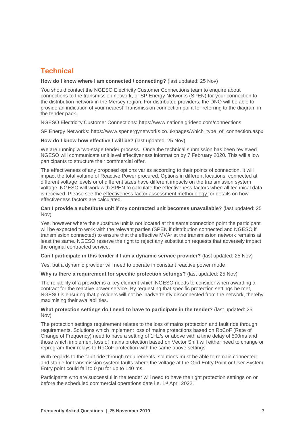# <span id="page-3-0"></span>**Technical**

# **How do I know where I am connected / connecting?** (last updated: 25 Nov)

You should contact the NGESO Electricity Customer Connections team to enquire about connections to the transmission network, or SP Energy Networks (SPEN) for your connection to the distribution network in the Mersey region. For distributed providers, the DNO will be able to provide an indication of your nearest Transmission connection point for referring to the diagram in the tender pack.

## NGESO Electricity Customer Connections:<https://www.nationalgrideso.com/connections>

SP Energy Networks: [https://www.spenergynetworks.co.uk/pages/which\\_type\\_of\\_connection.aspx](https://www.spenergynetworks.co.uk/pages/which_type_of_connection.aspx)

## **How do I know how effective I will be?** (last updated: 25 Nov)

We are running a two-stage tender process. Once the technical submission has been reviewed NGESO will communicate unit level effectiveness information by 7 February 2020. This will allow participants to structure their commercial offer.

The effectiveness of any proposed options varies according to their points of connection. It will impact the total volume of Reactive Power procured. Options in different locations, connected at different voltage levels or of different sizes have different impacts on the transmission system voltage. NGESO will work with SPEN to calculate the effectiveness factors when all technical data is received. Please see the [effectiveness factor assessment methodology](https://www.nationalgrideso.com/document/154411/download) for details on how effectiveness factors are calculated.

## **Can I provide a substitute unit if my contracted unit becomes unavailable?** (last updated: 25 Nov)

Yes, however where the substitute unit is not located at the same connection point the participant will be expected to work with the relevant parties (SPEN if distribution connected and NGESO if transmission connected) to ensure that the effective MVAr at the transmission network remains at least the same. NGESO reserve the right to reject any substitution requests that adversely impact the original contracted service.

## **Can I participate in this tender if I am a dynamic service provider?** (last updated: 25 Nov)

Yes, but a dynamic provider will need to operate in constant reactive power mode.

## **Why is there a requirement for specific protection settings?** (last updated: 25 Nov)

The reliability of a provider is a key element which NGESO needs to consider when awarding a contract for the reactive power service. By requesting that specific protection settings be met, NGESO is ensuring that providers will not be inadvertently disconnected from the network, thereby maximising their availabilities.

## **What protection settings do I need to have to participate in the tender?** (last updated: 25 Nov)

The protection settings requirement relates to the loss of mains protection and fault ride through requirements. Solutions which implement loss of mains protections based on RoCoF (Rate of Change of Frequency) need to have a setting of 1Hz/s or above with a time delay of 500ms and those which implement loss of mains protection based on Vector Shift will either need to change or reprogram their relays to RoCoF protection with the same above settings.

With regards to the fault ride through requirements, solutions must be able to remain connected and stable for transmission system faults where the voltage at the Grid Entry Point or User System Entry point could fall to 0 pu for up to 140 ms.

Participants who are successful in the tender will need to have the right protection settings on or before the scheduled commercial operations date i.e. 1<sup>st</sup> April 2022.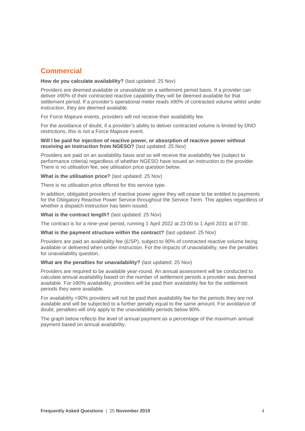# <span id="page-4-0"></span>**Commercial**

# **How do you calculate availability?** (last updated: 25 Nov)

Providers are deemed available or unavailable on a settlement period basis. If a provider can deliver ≥90% of their contracted reactive capability they will be deemed available for that settlement period. If a provider's operational meter reads ≥90% of contracted volume whilst under instruction, they are deemed available.

For Force Majeure events, providers will not receive their availability fee.

For the avoidance of doubt, if a provider's ability to deliver contracted volume is limited by DNO restrictions, this is not a Force Majeure event.

#### **Will I be paid for injection of reactive power, or absorption of reactive power without receiving an instruction from NGESO?** (last updated: 25 Nov)

Providers are paid on an availability basis and so will receive the availability fee (subject to performance criteria) regardless of whether NGESO have issued an instruction to the provider. There is no utilisation fee, see utilisation price question below.

**What is the utilisation price?** (last updated: 25 Nov)

There is no utilisation price offered for this service type.

In addition, obligated providers of reactive power agree they will cease to be entitled to payments for the Obligatory Reactive Power Service throughout the Service Term. This applies regardless of whether a dispatch instruction has been issued.

## **What is the contract length?** (last updated: 25 Nov)

The contract is for a nine-year period, running 1 April 2022 at 23:00 to 1 April 2031 at 07:00.

## **What is the payment structure within the contract?** (last updated: 25 Nov)

Providers are paid an availability fee (£/SP), subject to 90% of contracted reactive volume being available or delivered when under instruction. For the impacts of unavailability, see the penalties for unavailability question.

## **What are the penalties for unavailability?** (last updated: 25 Nov)

Providers are required to be available year-round. An annual assessment will be conducted to calculate annual availability based on the number of settlement periods a provider was deemed available. For ≥90% availability, providers will be paid their availability fee for the settlement periods they were available.

For availability <90% providers will not be paid their availability fee for the periods they are not available and will be subjected to a further penalty equal to the same amount. For avoidance of doubt, penalties will only apply to the unavailability periods below 90%.

The graph below reflects the level of annual payment as a percentage of the maximum annual payment based on annual availability.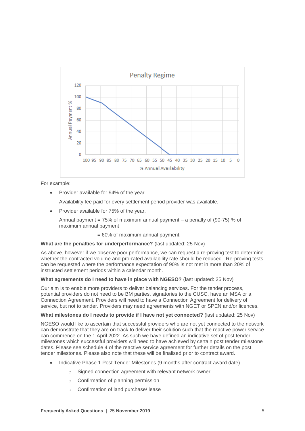

For example:

• Provider available for 94% of the year.

Availability fee paid for every settlement period provider was available.

• Provider available for 75% of the year.

Annual payment =  $75\%$  of maximum annual payment – a penalty of (90-75) % of maximum annual payment

= 60% of maximum annual payment.

# **What are the penalties for underperformance?** (last updated: 25 Nov)

As above, however if we observe poor performance, we can request a re-proving test to determine whether the contracted volume and pro-rated availability rate should be reduced. Re-proving tests can be requested where the performance expectation of 90% is not met in more than 20% of instructed settlement periods within a calendar month.

## **What agreements do I need to have in place with NGESO?** (last updated: 25 Nov)

Our aim is to enable more providers to deliver balancing services. For the tender process, potential providers do not need to be BM parties, signatories to the CUSC, have an MSA or a Connection Agreement. Providers will need to have a Connection Agreement for delivery of service, but not to tender. Providers may need agreements with NGET or SPEN and/or licences.

## **What milestones do I needs to provide if I have not yet connected?** (last updated: 25 Nov)

NGESO would like to ascertain that successful providers who are not yet connected to the network can demonstrate that they are on track to deliver their solution such that the reactive power service can commence on the 1 April 2022. As such we have defined an indicative set of post tender milestones which successful providers will need to have achieved by certain post tender milestone dates. Please see schedule 4 of the reactive service agreement for further details on the post tender milestones. Please also note that these will be finalised prior to contract award.

- Indicative Phase 1 Post Tender Milestones (9 months after contract award date)
	- o Signed connection agreement with relevant network owner
	- o Confirmation of planning permission
	- o Confirmation of land purchase/ lease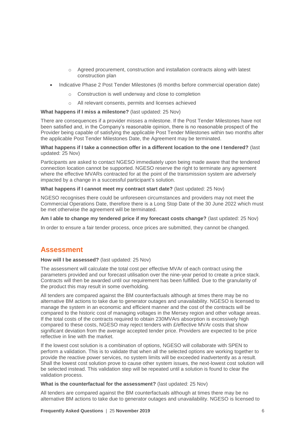- o Agreed procurement, construction and installation contracts along with latest construction plan
- Indicative Phase 2 Post Tender Milestones (6 months before commercial operation date)
	- o Construction is well underway and close to completion
	- o All relevant consents, permits and licenses achieved

# **What happens if I miss a milestone?** (last updated: 25 Nov)

There are consequences if a provider misses a milestone. If the Post Tender Milestones have not been satisfied and, in the Company's reasonable opinion, there is no reasonable prospect of the Provider being capable of satisfying the applicable Post Tender Milestones within two months after the applicable Post Tender Milestones Date, the Agreement may be terminated.

## **What happens if I take a connection offer in a different location to the one I tendered?** (last updated: 25 Nov)

Participants are asked to contact NGESO immediately upon being made aware that the tendered connection location cannot be supported. NGESO reserve the right to terminate any agreement where the effective MVARs contracted for at the point of the transmission system are adversely impacted by a change in a successful participant's solution.

# **What happens if I cannot meet my contract start date?** (last updated: 25 Nov)

NGESO recognises there could be unforeseen circumstances and providers may not meet the Commercial Operations Date, therefore there is a Long Stop Date of the 30 June 2022 which must be met otherwise the agreement will be terminated.

**Am I able to change my tendered price if my forecast costs change?** (last updated: 25 Nov)

In order to ensure a fair tender process, once prices are submitted, they cannot be changed.

# <span id="page-6-0"></span>**Assessment**

## **How will I be assessed?** (last updated: 25 Nov)

The assessment will calculate the total cost per effective MVAr of each contract using the parameters provided and our forecast utilisation over the nine-year period to create a price stack. Contracts will then be awarded until our requirement has been fulfilled. Due to the granularity of the product this may result in some overholding.

All tenders are compared against the BM counterfactuals although at times there may be no alternative BM actions to take due to generator outages and unavailability. NGESO is licensed to manage the system in an economic and efficient manner and the cost of the contracts will be compared to the historic cost of managing voltages in the Mersey region and other voltage areas. If the total costs of the contracts required to obtain 230MVArs absorption is excessively high compared to these costs, NGESO may reject tenders with £/effective MVAr costs that show significant deviation from the average accepted tender price. Providers are expected to be price reflective in line with the market.

If the lowest cost solution is a combination of options, NGESO will collaborate with SPEN to perform a validation. This is to validate that when all the selected options are working together to provide the reactive power services, no system limits will be exceeded inadvertently as a result. Shall the lowest cost solution prove to cause other system issues, the next-lowest cost solution will be selected instead. This validation step will be repeated until a solution is found to clear the validation process.

# **What is the counterfactual for the assessment?** (last updated: 25 Nov)

All tenders are compared against the BM counterfactuals although at times there may be no alternative BM actions to take due to generator outages and unavailability. NGESO is licensed to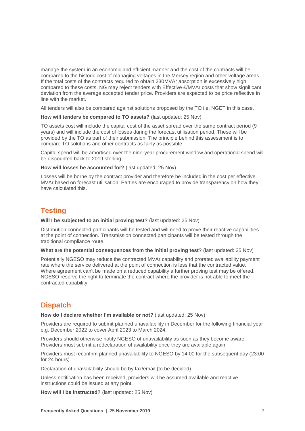manage the system in an economic and efficient manner and the cost of the contracts will be compared to the historic cost of managing voltages in the Mersey region and other voltage areas. If the total costs of the contracts required to obtain 230MVAr absorption is excessively high compared to these costs, NG may reject tenders with Effective £/MVAr costs that show significant deviation from the average accepted tender price. Providers are expected to be price reflective in line with the market.

All tenders will also be compared against solutions proposed by the TO i.e. NGET in this case.

**How will tenders be compared to TO assets?** (last updated: 25 Nov)

TO assets cost will include the capital cost of the asset spread over the same contract period (9 years) and will include the cost of losses during the forecast utilisation period. These will be provided by the TO as part of their submission. The principle behind this assessment is to compare TO solutions and other contracts as fairly as possible.

Capital spend will be amortised over the nine-year procurement window and operational spend will be discounted back to 2019 sterling.

**How will losses be accounted for?** (last updated: 25 Nov)

Losses will be borne by the contract provider and therefore be included in the cost per effective MVAr based on forecast utilisation. Parties are encouraged to provide transparency on how they have calculated this.

# <span id="page-7-0"></span>**Testing**

**Will I be subjected to an initial proving test?** (last updated: 25 Nov)

Distribution connected participants will be tested and will need to prove their reactive capabilities at the point of connection. Transmission connected participants will be tested through the traditional compliance route.

**What are the potential consequences from the initial proving test?** (last updated: 25 Nov)

Potentially NGESO may reduce the contracted MVAr capability and prorated availability payment rate where the service delivered at the point of connection is less that the contracted value. Where agreement can't be made on a reduced capability a further proving test may be offered. NGESO reserve the right to terminate the contract where the provider is not able to meet the contracted capability.

# <span id="page-7-1"></span>**Dispatch**

**How do I declare whether I'm available or not?** (last updated: 25 Nov)

Providers are required to submit planned unavailability in December for the following financial year e.g. December 2022 to cover April 2023 to March 2024.

Providers should otherwise notify NGESO of unavailability as soon as they become aware. Providers must submit a redeclaration of availability once they are available again.

Providers must reconfirm planned unavailability to NGESO by 14:00 for the subsequent day (23:00 for 24 hours).

Declaration of unavailability should be by fax/email (to be decided).

Unless notification has been received, providers will be assumed available and reactive instructions could be issued at any point.

**How will I be instructed?** (last updated: 25 Nov)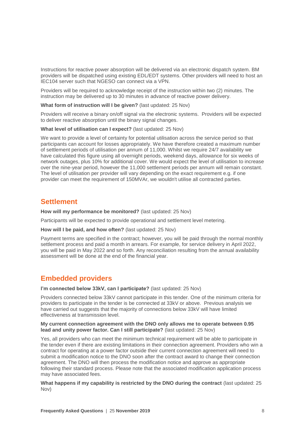Instructions for reactive power absorption will be delivered via an electronic dispatch system. BM providers will be dispatched using existing EDL/EDT systems. Other providers will need to host an IEC104 server such that NGESO can connect via a VPN.

Providers will be required to acknowledge receipt of the instruction within two (2) minutes. The instruction may be delivered up to 30 minutes in advance of reactive power delivery.

**What form of instruction will I be given?** (last updated: 25 Nov)

Providers will receive a binary on/off signal via the electronic systems. Providers will be expected to deliver reactive absorption until the binary signal changes.

#### **What level of utilisation can I expect?** (last updated: 25 Nov)

We want to provide a level of certainty for potential utilisation across the service period so that participants can account for losses appropriately. We have therefore created a maximum number of settlement periods of utilisation per annum of 11,000. Whilst we require 24/7 availability we have calculated this figure using all overnight periods, weekend days, allowance for six weeks of network outages, plus 10% for additional cover. We would expect the level of utilisation to increase over the nine-year period, however the 11,000 settlement periods per annum will remain constant. The level of utilisation per provider will vary depending on the exact requirement e.g. if one provider can meet the requirement of 150MVAr, we wouldn't utilise all contracted parties.

# <span id="page-8-0"></span>**Settlement**

**How will my performance be monitored?** (last updated: 25 Nov)

Participants will be expected to provide operational and settlement level metering.

**How will I be paid, and how often?** (last updated: 25 Nov)

Payment terms are specified in the contract; however, you will be paid through the normal monthly settlement process and paid a month in arrears. For example, for service delivery in April 2022, you will be paid in May 2022 and so forth. Any reconciliation resulting from the annual availability assessment will be done at the end of the financial year.

# <span id="page-8-1"></span>**Embedded providers**

**I'm connected below 33kV, can I participate?** (last updated: 25 Nov)

Providers connected below 33kV cannot participate in this tender. One of the minimum criteria for providers to participate in the tender is be connected at 33kV or above. Previous analysis we have carried out suggests that the majority of connections below 33kV will have limited effectiveness at transmission level.

#### **My current connection agreement with the DNO only allows me to operate between 0.95 lead and unity power factor. Can I still participate?** (last updated: 25 Nov)

Yes, all providers who can meet the minimum technical requirement will be able to participate in the tender even if there are existing limitations in their connection agreement. Providers who win a contract for operating at a power factor outside their current connection agreement will need to submit a modification notice to the DNO soon after the contract award to change their connection agreement. The DNO will then process the modification notice and approve as appropriate following their standard process. Please note that the associated modification application process may have associated fees.

**What happens if my capability is restricted by the DNO during the contract** (last updated: 25 Nov)